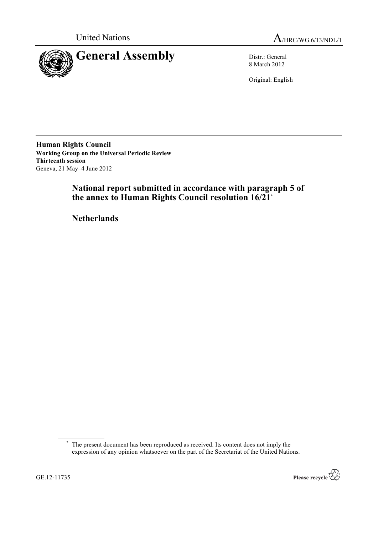



8 March 2012

Original: English

**Human Rights Council Working Group on the Universal Periodic Review Thirteenth session** Geneva, 21 May–4 June 2012

# **National report submitted in accordance with paragraph 5 of the annex to Human Rights Council resolution 16/21\***

**Netherlands**

<sup>\*</sup> The present document has been reproduced as received. Its content does not imply the expression of any opinion whatsoever on the part of the Secretariat of the United Nations.

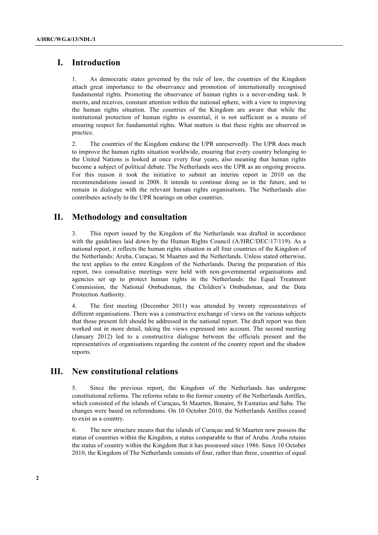# **I. Introduction**

1. As democratic states governed by the rule of law, the countries of the Kingdom attach great importance to the observance and promotion of internationally recognised fundamental rights. Promoting the observance of human rights is a never-ending task. It merits, and receives, constant attention within the national sphere, with a view to improving the human rights situation. The countries of the Kingdom are aware that while the institutional protection of human rights is essential, it is not sufficient as a means of ensuring respect for fundamental rights. What matters is that these rights are observed in practice.

2. The countries of the Kingdom endorse the UPR unreservedly. The UPR does much to improve the human rights situation worldwide, ensuring that every country belonging to the United Nations is looked at once every four years, also meaning that human rights become a subject of political debate. The Netherlands sees the UPR as an ongoing process. For this reason it took the initiative to submit an interim report in 2010 on the recommendations issued in 2008. It intends to continue doing so in the future, and to remain in dialogue with the relevant human rights organisations. The Netherlands also contributes actively to the UPR hearings on other countries.

# **II. Methodology and consultation**

3. This report issued by the Kingdom of the Netherlands was drafted in accordance with the guidelines laid down by the Human Rights Council (A/HRC/DEC/17/119). As a national report, it reflects the human rights situation in all four countries of the Kingdom of the Netherlands: Aruba, Curaçao, St Maarten and the Netherlands. Unless stated otherwise, the text applies to the entire Kingdom of the Netherlands. During the preparation of this report, two consultative meetings were held with non-governmental organisations and agencies set up to protect human rights in the Netherlands: the Equal Treatment Commission, the National Ombudsman, the Children's Ombudsman, and the Data Protection Authority.

4. The first meeting (December 2011) was attended by twenty representatives of different organisations. There was a constructive exchange of views on the various subjects that those present felt should be addressed in the national report. The draft report was then worked out in more detail, taking the views expressed into account. The second meeting (January 2012) led to a constructive dialogue between the officials present and the representatives of organisations regarding the content of the country report and the shadow reports.

# **III. New constitutional relations**

5. Since the previous report, the Kingdom of the Netherlands has undergone constitutional reforms. The reforms relate to the former country of the Netherlands Antilles, which consisted of the islands of Curaçao**,** St Maarten, Bonaire, St Eustatius and Saba. The changes were based on referendums. On 10 October 2010, the Netherlands Antilles ceased to exist as a country.

6. The new structure means that the islands of Curaçao and St Maarten now possess the status of countries within the Kingdom, a status comparable to that of Aruba. Aruba retains the status of country within the Kingdom that it has possessed since 1986. Since 10 October 2010, the Kingdom of The Netherlands consists of four, rather than three, countries of equal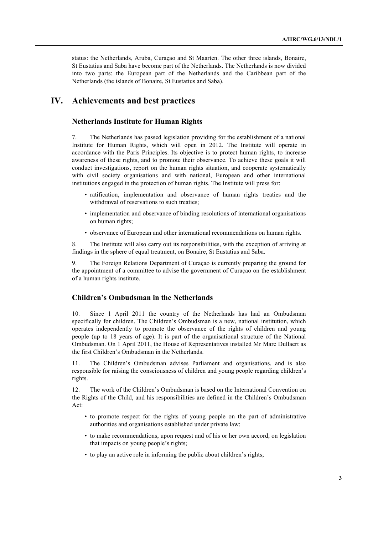status: the Netherlands, Aruba, Curaçao and St Maarten. The other three islands, Bonaire, St Eustatius and Saba have become part of the Netherlands. The Netherlands is now divided into two parts: the European part of the Netherlands and the Caribbean part of the Netherlands (the islands of Bonaire, St Eustatius and Saba).

# **IV. Achievements and best practices**

# **Netherlands Institute for Human Rights**

7. The Netherlands has passed legislation providing for the establishment of a national Institute for Human Rights, which will open in 2012. The Institute will operate in accordance with the Paris Principles. Its objective is to protect human rights, to increase awareness of these rights, and to promote their observance. To achieve these goals it will conduct investigations, report on the human rights situation, and cooperate systematically with civil society organisations and with national, European and other international institutions engaged in the protection of human rights. The Institute will press for:

- ratification, implementation and observance of human rights treaties and the withdrawal of reservations to such treaties;
- implementation and observance of binding resolutions of international organisations on human rights;
- observance of European and other international recommendations on human rights.

8. The Institute will also carry out its responsibilities, with the exception of arriving at findings in the sphere of equal treatment, on Bonaire, St Eustatius and Saba.

9. The Foreign Relations Department of Curaçao is currently preparing the ground for the appointment of a committee to advise the government of Curaçao on the establishment of a human rights institute.

# **Children's Ombudsman in the Netherlands**

10. Since 1 April 2011 the country of the Netherlands has had an Ombudsman specifically for children. The Children's Ombudsman is a new, national institution, which operates independently to promote the observance of the rights of children and young people (up to 18 years of age). It is part of the organisational structure of the National Ombudsman. On 1 April 2011, the House of Representatives installed Mr Marc Dullaert as the first Children's Ombudsman in the Netherlands.

11. The Children's Ombudsman advises Parliament and organisations, and is also responsible for raising the consciousness of children and young people regarding children's rights.

12. The work of the Children's Ombudsman is based on the International Convention on the Rights of the Child, and his responsibilities are defined in the Children's Ombudsman Act:

- to promote respect for the rights of young people on the part of administrative authorities and organisations established under private law;
- to make recommendations, upon request and of his or her own accord, on legislation that impacts on young people's rights;
- to play an active role in informing the public about children's rights;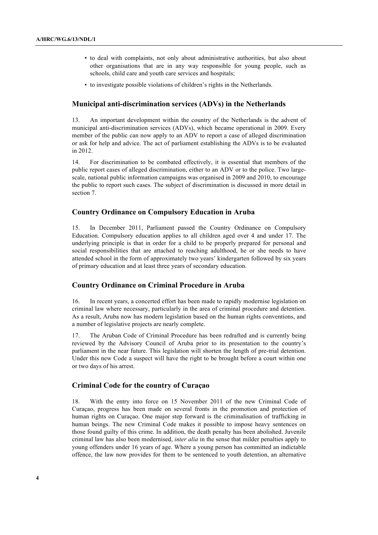- to deal with complaints, not only about administrative authorities, but also about other organisations that are in any way responsible for young people, such as schools, child care and youth care services and hospitals;
- to investigate possible violations of children's rights in the Netherlands.

## **Municipal anti-discrimination services (ADVs) in the Netherlands**

13. An important development within the country of the Netherlands is the advent of municipal anti-discrimination services (ADVs), which became operational in 2009. Every member of the public can now apply to an ADV to report a case of alleged discrimination or ask for help and advice. The act of parliament establishing the ADVs is to be evaluated in 2012.

14. For discrimination to be combated effectively, it is essential that members of the public report cases of alleged discrimination, either to an ADV or to the police. Two largescale, national public information campaigns was organised in 2009 and 2010, to encourage the public to report such cases. The subject of discrimination is discussed in more detail in section 7.

## **Country Ordinance on Compulsory Education in Aruba**

15. In December 2011, Parliament passed the Country Ordinance on Compulsory Education. Compulsory education applies to all children aged over 4 and under 17. The underlying principle is that in order for a child to be properly prepared for personal and social responsibilities that are attached to reaching adulthood, he or she needs to have attended school in the form of approximately two years' kindergarten followed by six years of primary education and at least three years of secondary education.

### **Country Ordinance on Criminal Procedure in Aruba**

16. In recent years, a concerted effort has been made to rapidly modernise legislation on criminal law where necessary, particularly in the area of criminal procedure and detention. As a result, Aruba now has modern legislation based on the human rights conventions, and a number of legislative projects are nearly complete.

17. The Aruban Code of Criminal Procedure has been redrafted and is currently being reviewed by the Advisory Council of Aruba prior to its presentation to the country's parliament in the near future. This legislation will shorten the length of pre-trial detention. Under this new Code a suspect will have the right to be brought before a court within one or two days of his arrest.

# **Criminal Code for the country of Curaçao**

18. With the entry into force on 15 November 2011 of the new Criminal Code of Curaçao, progress has been made on several fronts in the promotion and protection of human rights on Curaçao. One major step forward is the criminalisation of trafficking in human beings. The new Criminal Code makes it possible to impose heavy sentences on those found guilty of this crime. In addition, the death penalty has been abolished. Juvenile criminal law has also been modernised, *inter alia* in the sense that milder penalties apply to young offenders under 16 years of age. Where a young person has committed an indictable offence, the law now provides for them to be sentenced to youth detention, an alternative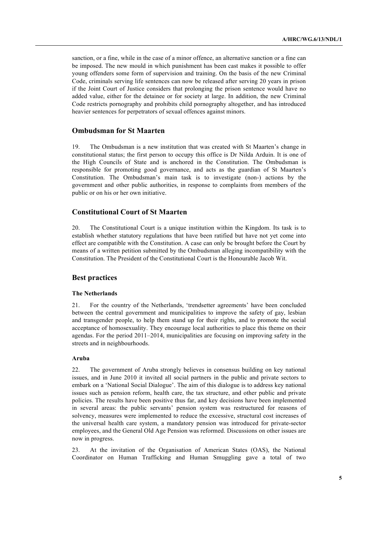sanction, or a fine, while in the case of a minor offence, an alternative sanction or a fine can be imposed. The new mould in which punishment has been cast makes it possible to offer young offenders some form of supervision and training. On the basis of the new Criminal Code, criminals serving life sentences can now be released after serving 20 years in prison if the Joint Court of Justice considers that prolonging the prison sentence would have no added value, either for the detainee or for society at large. In addition, the new Criminal Code restricts pornography and prohibits child pornography altogether, and has introduced heavier sentences for perpetrators of sexual offences against minors.

## **Ombudsman for St Maarten**

19. The Ombudsman is a new institution that was created with St Maarten's change in constitutional status; the first person to occupy this office is Dr Nilda Arduin. It is one of the High Councils of State and is anchored in the Constitution. The Ombudsman is responsible for promoting good governance, and acts as the guardian of St Maarten's Constitution. The Ombudsman's main task is to investigate (non-) actions by the government and other public authorities, in response to complaints from members of the public or on his or her own initiative.

# **Constitutional Court of St Maarten**

20. The Constitutional Court is a unique institution within the Kingdom. Its task is to establish whether statutory regulations that have been ratified but have not yet come into effect are compatible with the Constitution. A case can only be brought before the Court by means of a written petition submitted by the Ombudsman alleging incompatibility with the Constitution. The President of the Constitutional Court is the Honourable Jacob Wit.

### **Best practices**

#### **The Netherlands**

21. For the country of the Netherlands, 'trendsetter agreements' have been concluded between the central government and municipalities to improve the safety of gay, lesbian and transgender people, to help them stand up for their rights, and to promote the social acceptance of homosexuality. They encourage local authorities to place this theme on their agendas. For the period 2011–2014, municipalities are focusing on improving safety in the streets and in neighbourhoods.

#### **Aruba**

22. The government of Aruba strongly believes in consensus building on key national issues, and in June 2010 it invited all social partners in the public and private sectors to embark on a 'National Social Dialogue'. The aim of this dialogue is to address key national issues such as pension reform, health care, the tax structure, and other public and private policies. The results have been positive thus far, and key decisions have been implemented in several areas: the public servants' pension system was restructured for reasons of solvency, measures were implemented to reduce the excessive, structural cost increases of the universal health care system, a mandatory pension was introduced for private-sector employees, and the General Old Age Pension was reformed. Discussions on other issues are now in progress.

23. At the invitation of the Organisation of American States (OAS), the National Coordinator on Human Trafficking and Human Smuggling gave a total of two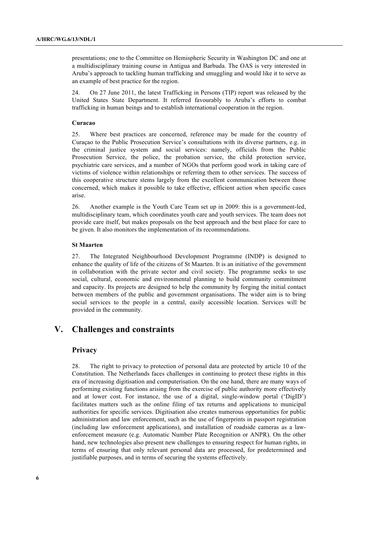presentations; one to the Committee on Hemispheric Security in Washington DC and one at a multidisciplinary training course in Antigua and Barbuda. The OAS is very interested in Aruba's approach to tackling human trafficking and smuggling and would like it to serve as an example of best practice for the region.

24. On 27 June 2011, the latest Trafficking in Persons (TIP) report was released by the United States State Department. It referred favourably to Aruba's efforts to combat trafficking in human beings and to establish international cooperation in the region.

#### **Curacao**

25. Where best practices are concerned, reference may be made for the country of Curaçao to the Public Prosecution Service's consultations with its diverse partners, e.g. in the criminal justice system and social services: namely, officials from the Public Prosecution Service, the police, the probation service, the child protection service, psychiatric care services, and a number of NGOs that perform good work in taking care of victims of violence within relationships or referring them to other services. The success of this cooperative structure stems largely from the excellent communication between those concerned, which makes it possible to take effective, efficient action when specific cases arise.

26. Another example is the Youth Care Team set up in 2009: this is a government-led, multidisciplinary team, which coordinates youth care and youth services. The team does not provide care itself, but makes proposals on the best approach and the best place for care to be given. It also monitors the implementation of its recommendations.

#### **St Maarten**

27. The Integrated Neighbourhood Development Programme (INDP) is designed to enhance the quality of life of the citizens of St Maarten. It is an initiative of the government in collaboration with the private sector and civil society. The programme seeks to use social, cultural, economic and environmental planning to build community commitment and capacity. Its projects are designed to help the community by forging the initial contact between members of the public and government organisations. The wider aim is to bring social services to the people in a central, easily accessible location. Services will be provided in the community.

# **V. Challenges and constraints**

### **Privacy**

28. The right to privacy to protection of personal data are protected by article 10 of the Constitution. The Netherlands faces challenges in continuing to protect these rights in this era of increasing digitisation and computerisation. On the one hand, there are many ways of performing existing functions arising from the exercise of public authority more effectively and at lower cost. For instance, the use of a digital, single-window portal ('DigID') facilitates matters such as the online filing of tax returns and applications to municipal authorities for specific services. Digitisation also creates numerous opportunities for public administration and law enforcement, such as the use of fingerprints in passport registration (including law enforcement applications), and installation of roadside cameras as a lawenforcement measure (e.g. Automatic Number Plate Recognition or ANPR). On the other hand, new technologies also present new challenges to ensuring respect for human rights, in terms of ensuring that only relevant personal data are processed, for predetermined and justifiable purposes, and in terms of securing the systems effectively.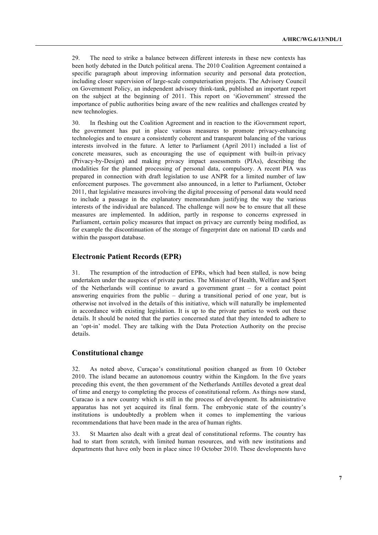29. The need to strike a balance between different interests in these new contexts has been hotly debated in the Dutch political arena. The 2010 Coalition Agreement contained a specific paragraph about improving information security and personal data protection, including closer supervision of large-scale computerisation projects. The Advisory Council on Government Policy, an independent advisory think-tank, published an important report on the subject at the beginning of 2011. This report on 'iGovernment' stressed the importance of public authorities being aware of the new realities and challenges created by new technologies.

30. In fleshing out the Coalition Agreement and in reaction to the iGovernment report, the government has put in place various measures to promote privacy-enhancing technologies and to ensure a consistently coherent and transparent balancing of the various interests involved in the future. A letter to Parliament (April 2011) included a list of concrete measures, such as encouraging the use of equipment with built-in privacy (Privacy-by-Design) and making privacy impact assessments (PIAs), describing the modalities for the planned processing of personal data, compulsory. A recent PIA was prepared in connection with draft legislation to use ANPR for a limited number of law enforcement purposes. The government also announced, in a letter to Parliament, October 2011, that legislative measures involving the digital processing of personal data would need to include a passage in the explanatory memorandum justifying the way the various interests of the individual are balanced. The challenge will now be to ensure that all these measures are implemented. In addition, partly in response to concerns expressed in Parliament, certain policy measures that impact on privacy are currently being modified, as for example the discontinuation of the storage of fingerprint date on national ID cards and within the passport database.

### **Electronic Patient Records (EPR)**

31. The resumption of the introduction of EPRs, which had been stalled, is now being undertaken under the auspices of private parties. The Minister of Health, Welfare and Sport of the Netherlands will continue to award a government grant – for a contact point answering enquiries from the public – during a transitional period of one year, but is otherwise not involved in the details of this initiative, which will naturally be implemented in accordance with existing legislation. It is up to the private parties to work out these details. It should be noted that the parties concerned stated that they intended to adhere to an 'opt-in' model. They are talking with the Data Protection Authority on the precise details.

### **Constitutional change**

32. As noted above, Curaçao's constitutional position changed as from 10 October 2010. The island became an autonomous country within the Kingdom. In the five years preceding this event, the then government of the Netherlands Antilles devoted a great deal of time and energy to completing the process of constitutional reform. As things now stand, Curacao is a new country which is still in the process of development. Its administrative apparatus has not yet acquired its final form. The embryonic state of the country's institutions is undoubtedly a problem when it comes to implementing the various recommendations that have been made in the area of human rights.

33. St Maarten also dealt with a great deal of constitutional reforms. The country has had to start from scratch, with limited human resources, and with new institutions and departments that have only been in place since 10 October 2010. These developments have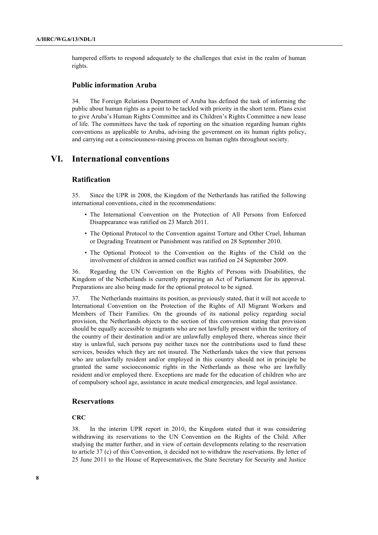hampered efforts to respond adequately to the challenges that exist in the realm of human rights.

### **Public information Aruba**

34. The Foreign Relations Department of Aruba has defined the task of informing the public about human rights as a point to be tackled with priority in the short term. Plans exist to give Aruba's Human Rights Committee and its Children's Rights Committee a new lease of life. The committees have the task of reporting on the situation regarding human rights conventions as applicable to Aruba, advising the government on its human rights policy, and carrying out a consciousness-raising process on human rights throughout society.

# **VI. International conventions**

## **Ratification**

35. Since the UPR in 2008, the Kingdom of the Netherlands has ratified the following international conventions, cited in the recommendations:

- The International Convention on the Protection of All Persons from Enforced Disappearance was ratified on 23 March 2011.
- The Optional Protocol to the Convention against Torture and Other Cruel, Inhuman or Degrading Treatment or Punishment was ratified on 28 September 2010.
- The Optional Protocol to the Convention on the Rights of the Child on the involvement of children in armed conflict was ratified on 24 September 2009.

36. Regarding the UN Convention on the Rights of Persons with Disabilities, the Kingdom of the Netherlands is currently preparing an Act of Parliament for its approval. Preparations are also being made for the optional protocol to be signed.

37. The Netherlands maintains its position, as previously stated, that it will not accede to International Convention on the Protection of the Rights of All Migrant Workers and Members of Their Families. On the grounds of its national policy regarding social provision, the Netherlands objects to the section of this convention stating that provision should be equally accessible to migrants who are not lawfully present within the territory of the country of their destination and/or are unlawfully employed there, whereas since their stay is unlawful, such persons pay neither taxes nor the contributions used to fund these services, besides which they are not insured. The Netherlands takes the view that persons who are unlawfully resident and/or employed in this country should not in principle be granted the same socioeconomic rights in the Netherlands as those who are lawfully resident and/or employed there. Exceptions are made for the education of children who are of compulsory school age, assistance in acute medical emergencies, and legal assistance.

## **Reservations**

### **CRC**

38. In the interim UPR report in 2010, the Kingdom stated that it was considering withdrawing its reservations to the UN Convention on the Rights of the Child. After studying the matter further, and in view of certain developments relating to the reservation to article 37 (c) of this Convention, it decided not to withdraw the reservations. By letter of 25 June 2011 to the House of Representatives, the State Secretary for Security and Justice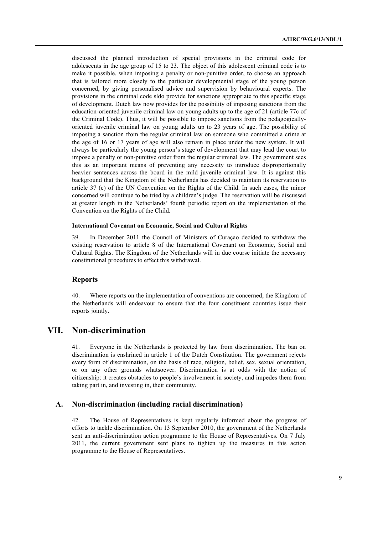discussed the planned introduction of special provisions in the criminal code for adolescents in the age group of 15 to 23. The object of this adolescent criminal code is to make it possible, when imposing a penalty or non-punitive order, to choose an approach that is tailored more closely to the particular developmental stage of the young person concerned, by giving personalised advice and supervision by behavioural experts. The provisions in the criminal code sldo provide for sanctions appropriate to this specific stage of development. Dutch law now provides for the possibility of imposing sanctions from the education-oriented juvenile criminal law on young adults up to the age of 21 (article 77c of the Criminal Code). Thus, it will be possible to impose sanctions from the pedagogicallyoriented juvenile criminal law on young adults up to 23 years of age. The possibility of imposing a sanction from the regular criminal law on someone who committed a crime at the age of 16 or 17 years of age will also remain in place under the new system. It will always be particularly the young person's stage of development that may lead the court to impose a penalty or non-punitive order from the regular criminal law. The government sees this as an important means of preventing any necessity to introduce disproportionally heavier sentences across the board in the mild juvenile criminal law. It is against this background that the Kingdom of the Netherlands has decided to maintain its reservation to article 37 (c) of the UN Convention on the Rights of the Child. In such cases, the minor concerned will continue to be tried by a children's judge. The reservation will be discussed at greater length in the Netherlands' fourth periodic report on the implementation of the Convention on the Rights of the Child.

### **International Covenant on Economic, Social and Cultural Rights**

39. In December 2011 the Council of Ministers of Curaçao decided to withdraw the existing reservation to article 8 of the International Covenant on Economic, Social and Cultural Rights. The Kingdom of the Netherlands will in due course initiate the necessary constitutional procedures to effect this withdrawal.

## **Reports**

40. Where reports on the implementation of conventions are concerned, the Kingdom of the Netherlands will endeavour to ensure that the four constituent countries issue their reports jointly.

# **VII. Non-discrimination**

41. Everyone in the Netherlands is protected by law from discrimination. The ban on discrimination is enshrined in article 1 of the Dutch Constitution. The government rejects every form of discrimination, on the basis of race, religion, belief, sex, sexual orientation, or on any other grounds whatsoever. Discrimination is at odds with the notion of citizenship: it creates obstacles to people's involvement in society, and impedes them from taking part in, and investing in, their community.

### **A. Non-discrimination (including racial discrimination)**

42. The House of Representatives is kept regularly informed about the progress of efforts to tackle discrimination. On 13 September 2010, the government of the Netherlands sent an anti-discrimination action programme to the House of Representatives. On 7 July 2011, the current government sent plans to tighten up the measures in this action programme to the House of Representatives.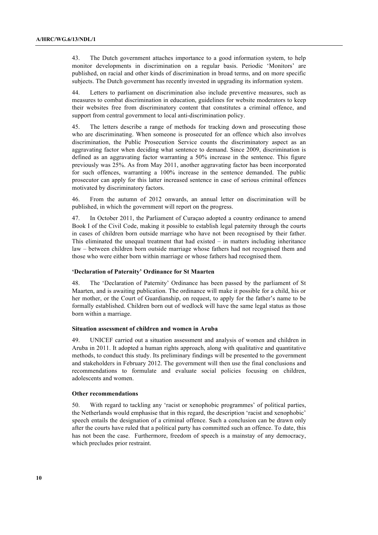43. The Dutch government attaches importance to a good information system, to help monitor developments in discrimination on a regular basis. Periodic 'Monitors' are published, on racial and other kinds of discrimination in broad terms, and on more specific subjects. The Dutch government has recently invested in upgrading its information system.

44. Letters to parliament on discrimination also include preventive measures, such as measures to combat discrimination in education, guidelines for website moderators to keep their websites free from discriminatory content that constitutes a criminal offence, and support from central government to local anti-discrimination policy.

45. The letters describe a range of methods for tracking down and prosecuting those who are discriminating. When someone is prosecuted for an offence which also involves discrimination, the Public Prosecution Service counts the discriminatory aspect as an aggravating factor when deciding what sentence to demand. Since 2009, discrimination is defined as an aggravating factor warranting a 50% increase in the sentence. This figure previously was 25%. As from May 2011, another aggravating factor has been incorporated for such offences, warranting a 100% increase in the sentence demanded. The public prosecutor can apply for this latter increased sentence in case of serious criminal offences motivated by discriminatory factors.

46. From the autumn of 2012 onwards, an annual letter on discrimination will be published, in which the government will report on the progress.

47. In October 2011, the Parliament of Curaçao adopted a country ordinance to amend Book I of the Civil Code, making it possible to establish legal paternity through the courts in cases of children born outside marriage who have not been recognised by their father. This eliminated the unequal treatment that had existed – in matters including inheritance law – between children born outside marriage whose fathers had not recognised them and those who were either born within marriage or whose fathers had recognised them.

#### **'Declaration of Paternity' Ordinance for St Maarten**

48. The 'Declaration of Paternity' Ordinance has been passed by the parliament of St Maarten, and is awaiting publication. The ordinance will make it possible for a child, his or her mother, or the Court of Guardianship, on request, to apply for the father's name to be formally established. Children born out of wedlock will have the same legal status as those born within a marriage.

#### **Situation assessment of children and women in Aruba**

49. UNICEF carried out a situation assessment and analysis of women and children in Aruba in 2011. It adopted a human rights approach, along with qualitative and quantitative methods, to conduct this study. Its preliminary findings will be presented to the government and stakeholders in February 2012. The government will then use the final conclusions and recommendations to formulate and evaluate social policies focusing on children, adolescents and women.

#### **Other recommendations**

50. With regard to tackling any 'racist or xenophobic programmes' of political parties, the Netherlands would emphasise that in this regard, the description 'racist and xenophobic' speech entails the designation of a criminal offence. Such a conclusion can be drawn only after the courts have ruled that a political party has committed such an offence. To date, this has not been the case. Furthermore, freedom of speech is a mainstay of any democracy, which precludes prior restraint.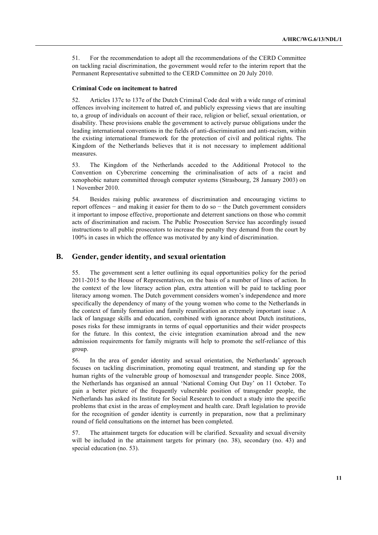51. For the recommendation to adopt all the recommendations of the CERD Committee on tackling racial discrimination, the government would refer to the interim report that the Permanent Representative submitted to the CERD Committee on 20 July 2010.

#### **Criminal Code on incitement to hatred**

52. Articles 137c to 137e of the Dutch Criminal Code deal with a wide range of criminal offences involving incitement to hatred of, and publicly expressing views that are insulting to, a group of individuals on account of their race, religion or belief, sexual orientation, or disability. These provisions enable the government to actively pursue obligations under the leading international conventions in the fields of anti-discrimination and anti-racism, within the existing international framework for the protection of civil and political rights. The Kingdom of the Netherlands believes that it is not necessary to implement additional measures.

53. The Kingdom of the Netherlands acceded to the Additional Protocol to the Convention on Cybercrime concerning the criminalisation of acts of a racist and xenophobic nature committed through computer systems (Strasbourg, 28 January 2003) on 1 November 2010.

54. Besides raising public awareness of discrimination and encouraging victims to report offences − and making it easier for them to do so − the Dutch government considers it important to impose effective, proportionate and deterrent sanctions on those who commit acts of discrimination and racism. The Public Prosecution Service has accordingly issued instructions to all public prosecutors to increase the penalty they demand from the court by 100% in cases in which the offence was motivated by any kind of discrimination.

## **B. Gender, gender identity, and sexual orientation**

55. The government sent a letter outlining its equal opportunities policy for the period 2011-2015 to the House of Representatives, on the basis of a number of lines of action. In the context of the low literacy action plan, extra attention will be paid to tackling poor literacy among women. The Dutch government considers women's independence and more specifically the dependency of many of the young women who come to the Netherlands in the context of family formation and family reunification an extremely important issue . A lack of language skills and education, combined with ignorance about Dutch institutions, poses risks for these immigrants in terms of equal opportunities and their wider prospects for the future. In this context, the civic integration examination abroad and the new admission requirements for family migrants will help to promote the self-reliance of this group.

56. In the area of gender identity and sexual orientation, the Netherlands' approach focuses on tackling discrimination, promoting equal treatment, and standing up for the human rights of the vulnerable group of homosexual and transgender people. Since 2008, the Netherlands has organised an annual 'National Coming Out Day' on 11 October. To gain a better picture of the frequently vulnerable position of transgender people, the Netherlands has asked its Institute for Social Research to conduct a study into the specific problems that exist in the areas of employment and health care. Draft legislation to provide for the recognition of gender identity is currently in preparation, now that a preliminary round of field consultations on the internet has been completed.

57. The attainment targets for education will be clarified. Sexuality and sexual diversity will be included in the attainment targets for primary (no. 38), secondary (no. 43) and special education (no. 53).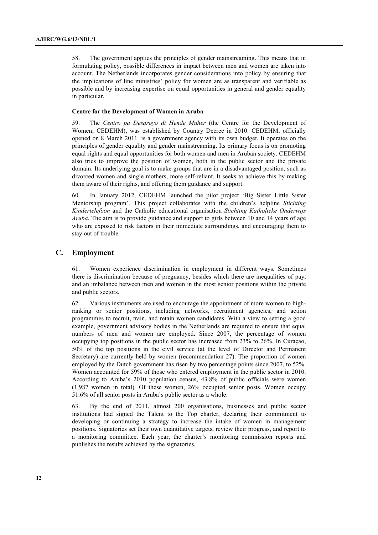58. The government applies the principles of gender mainstreaming. This means that in formulating policy, possible differences in impact between men and women are taken into account. The Netherlands incorporates gender considerations into policy by ensuring that the implications of line ministries' policy for women are as transparent and verifiable as possible and by increasing expertise on equal opportunities in general and gender equality in particular.

#### **Centre for the Development of Women in Aruba**

59. The *Centro pa Desaroyo di Hende Muher* (the Centre for the Development of Women; CEDEHM), was established by Country Decree in 2010. CEDEHM, officially opened on 8 March 2011*,* is a government agency with its own budget. It operates on the principles of gender equality and gender mainstreaming. Its primary focus is on promoting equal rights and equal opportunities for both women and men in Aruban society. CEDEHM also tries to improve the position of women, both in the public sector and the private domain. Its underlying goal is to make groups that are in a disadvantaged position, such as divorced women and single mothers, more self-reliant. It seeks to achieve this by making them aware of their rights, and offering them guidance and support.

60. In January 2012, CEDEHM launched the pilot project 'Big Sister Little Sister Mentorship program'. This project collaborates with the children's helpline *Stichting Kindertelefoon* and the Catholic educational organisation *Stichting Katholieke Onderwijs Aruba*. The aim is to provide guidance and support to girls between 10 and 14 years of age who are exposed to risk factors in their immediate surroundings, and encouraging them to stay out of trouble.

### **C. Employment**

61. Women experience discrimination in employment in different ways. Sometimes there is discrimination because of pregnancy, besides which there are inequalities of pay, and an imbalance between men and women in the most senior positions within the private and public sectors.

62. Various instruments are used to encourage the appointment of more women to highranking or senior positions, including networks, recruitment agencies, and action programmes to recruit, train, and retain women candidates. With a view to setting a good example, government advisory bodies in the Netherlands are required to ensure that equal numbers of men and women are employed. Since 2007, the percentage of women occupying top positions in the public sector has increased from 23% to 26%. In Curaçao, 50% of the top positions in the civil service (at the level of Director and Permanent Secretary) are currently held by women (recommendation 27). The proportion of women employed by the Dutch government has risen by two percentage points since 2007, to 52%. Women accounted for 59% of those who entered employment in the public sector in 2010. According to Aruba's 2010 population census, 43.8% of public officials were women (1,987 women in total). Of these women, 26% occupied senior posts. Women occupy 51.6% of all senior posts in Aruba's public sector as a whole.

63. By the end of 2011, almost 200 organisations, businesses and public sector institutions had signed the Talent to the Top charter, declaring their commitment to developing or continuing a strategy to increase the intake of women in management positions. Signatories set their own quantitative targets, review their progress, and report to a monitoring committee. Each year, the charter's monitoring commission reports and publishes the results achieved by the signatories.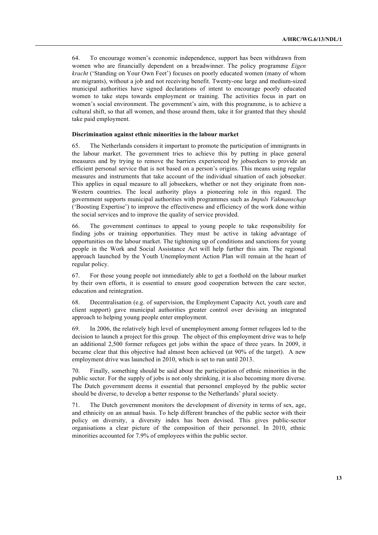64. To encourage women's economic independence, support has been withdrawn from women who are financially dependent on a breadwinner. The policy programme *Eigen kracht* ('Standing on Your Own Feet') focuses on poorly educated women (many of whom are migrants), without a job and not receiving benefit. Twenty-one large and medium-sized municipal authorities have signed declarations of intent to encourage poorly educated women to take steps towards employment or training. The activities focus in part on women's social environment. The government's aim, with this programme, is to achieve a cultural shift, so that all women, and those around them, take it for granted that they should take paid employment.

#### **Discrimination against ethnic minorities in the labour market**

65. The Netherlands considers it important to promote the participation of immigrants in the labour market. The government tries to achieve this by putting in place general measures and by trying to remove the barriers experienced by jobseekers to provide an efficient personal service that is not based on a person's origins. This means using regular measures and instruments that take account of the individual situation of each jobseeker. This applies in equal measure to all jobseekers, whether or not they originate from non-Western countries. The local authority plays a pioneering role in this regard. The government supports municipal authorities with programmes such as *Impuls Vakmanschap* ('Boosting Expertise') to improve the effectiveness and efficiency of the work done within the social services and to improve the quality of service provided.

66. The government continues to appeal to young people to take responsibility for finding jobs or training opportunities. They must be active in taking advantage of opportunities on the labour market. The tightening up of conditions and sanctions for young people in the Work and Social Assistance Act will help further this aim. The regional approach launched by the Youth Unemployment Action Plan will remain at the heart of regular policy.

67. For those young people not immediately able to get a foothold on the labour market by their own efforts, it is essential to ensure good cooperation between the care sector, education and reintegration.

68. Decentralisation (e.g. of supervision, the Employment Capacity Act, youth care and client support) gave municipal authorities greater control over devising an integrated approach to helping young people enter employment.

69. In 2006, the relatively high level of unemployment among former refugees led to the decision to launch a project for this group. The object of this employment drive was to help an additional 2,500 former refugees get jobs within the space of three years. In 2009, it became clear that this objective had almost been achieved (at 90% of the target). A new employment drive was launched in 2010, which is set to run until 2013.

70. Finally, something should be said about the participation of ethnic minorities in the public sector. For the supply of jobs is not only shrinking, it is also becoming more diverse. The Dutch government deems it essential that personnel employed by the public sector should be diverse, to develop a better response to the Netherlands' plural society.

71. The Dutch government monitors the development of diversity in terms of sex, age, and ethnicity on an annual basis. To help different branches of the public sector with their policy on diversity, a diversity index has been devised. This gives public-sector organisations a clear picture of the composition of their personnel. In 2010, ethnic minorities accounted for 7.9% of employees within the public sector.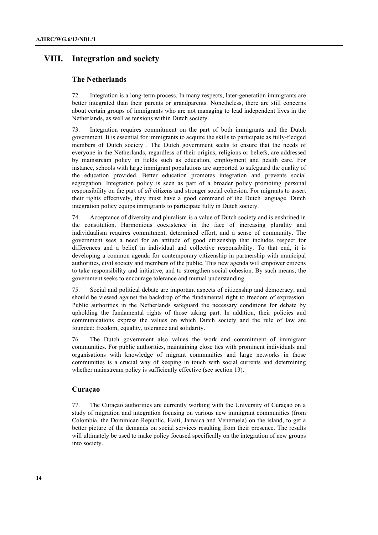# **VIII. Integration and society**

## **The Netherlands**

72. Integration is a long-term process. In many respects, later-generation immigrants are better integrated than their parents or grandparents. Nonetheless, there are still concerns about certain groups of immigrants who are not managing to lead independent lives in the Netherlands, as well as tensions within Dutch society.

73. Integration requires commitment on the part of both immigrants and the Dutch government. It is essential for immigrants to acquire the skills to participate as fully-fledged members of Dutch society . The Dutch government seeks to ensure that the needs of everyone in the Netherlands, regardless of their origins, religions or beliefs, are addressed by mainstream policy in fields such as education, employment and health care. For instance, schools with large immigrant populations are supported to safeguard the quality of the education provided. Better education promotes integration and prevents social segregation. Integration policy is seen as part of a broader policy promoting personal responsibility on the part of *all* citizens and stronger social cohesion. For migrants to assert their rights effectively, they must have a good command of the Dutch language. Dutch integration policy equips immigrants to participate fully in Dutch society.

74. Acceptance of diversity and pluralism is a value of Dutch society and is enshrined in the constitution. Harmonious coexistence in the face of increasing plurality and individualism requires commitment, determined effort, and a sense of community. The government sees a need for an attitude of good citizenship that includes respect for differences and a belief in individual and collective responsibility. To that end, it is developing a common agenda for contemporary citizenship in partnership with municipal authorities, civil society and members of the public. This new agenda will empower citizens to take responsibility and initiative, and to strengthen social cohesion. By such means, the government seeks to encourage tolerance and mutual understanding.

75. Social and political debate are important aspects of citizenship and democracy, and should be viewed against the backdrop of the fundamental right to freedom of expression. Public authorities in the Netherlands safeguard the necessary conditions for debate by upholding the fundamental rights of those taking part. In addition, their policies and communications express the values on which Dutch society and the rule of law are founded: freedom, equality, tolerance and solidarity.

76. The Dutch government also values the work and commitment of immigrant communities. For public authorities, maintaining close ties with prominent individuals and organisations with knowledge of migrant communities and large networks in those communities is a crucial way of keeping in touch with social currents and determining whether mainstream policy is sufficiently effective (see section 13).

# **Curaçao**

77. The Curaçao authorities are currently working with the University of Curaçao on a study of migration and integration focusing on various new immigrant communities (from Colombia, the Dominican Republic, Haiti, Jamaica and Venezuela) on the island, to get a better picture of the demands on social services resulting from their presence. The results will ultimately be used to make policy focused specifically on the integration of new groups into society.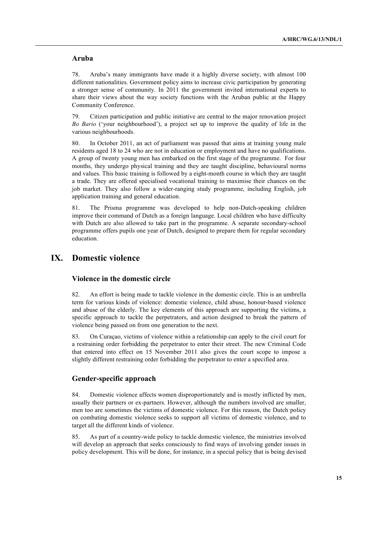## **Aruba**

78. Aruba's many immigrants have made it a highly diverse society, with almost 100 different nationalities. Government policy aims to increase civic participation by generating a stronger sense of community. In 2011 the government invited international experts to share their views about the way society functions with the Aruban public at the Happy Community Conference.

79. Citizen participation and public initiative are central to the major renovation project *Bo Bario* ('your neighbourhood'), a project set up to improve the quality of life in the various neighbourhoods.

80. In October 2011, an act of parliament was passed that aims at training young male residents aged 18 to 24 who are not in education or employment and have no qualifications. A group of twenty young men has embarked on the first stage of the programme. For four months, they undergo physical training and they are taught discipline, behavioural norms and values. This basic training is followed by a eight-month course in which they are taught a trade. They are offered specialised vocational training to maximise their chances on the job market. They also follow a wider-ranging study programme, including English, job application training and general education.

81. The Prisma programme was developed to help non-Dutch-speaking children improve their command of Dutch as a foreign language. Local children who have difficulty with Dutch are also allowed to take part in the programme. A separate secondary-school programme offers pupils one year of Dutch, designed to prepare them for regular secondary education.

# **IX. Domestic violence**

# **Violence in the domestic circle**

82. An effort is being made to tackle violence in the domestic circle. This is an umbrella term for various kinds of violence: domestic violence, child abuse, honour-based violence and abuse of the elderly. The key elements of this approach are supporting the victims, a specific approach to tackle the perpetrators, and action designed to break the pattern of violence being passed on from one generation to the next.

83. On Curaçao, victims of violence within a relationship can apply to the civil court for a restraining order forbidding the perpetrator to enter their street. The new Criminal Code that entered into effect on 15 November 2011 also gives the court scope to impose a slightly different restraining order forbidding the perpetrator to enter a specified area.

# **Gender-specific approach**

84. Domestic violence affects women disproportionately and is mostly inflicted by men, usually their partners or ex-partners. However, although the numbers involved are smaller, men too are sometimes the victims of domestic violence. For this reason, the Dutch policy on combating domestic violence seeks to support all victims of domestic violence, and to target all the different kinds of violence.

85. As part of a country-wide policy to tackle domestic violence, the ministries involved will develop an approach that seeks consciously to find ways of involving gender issues in policy development. This will be done, for instance, in a special policy that is being devised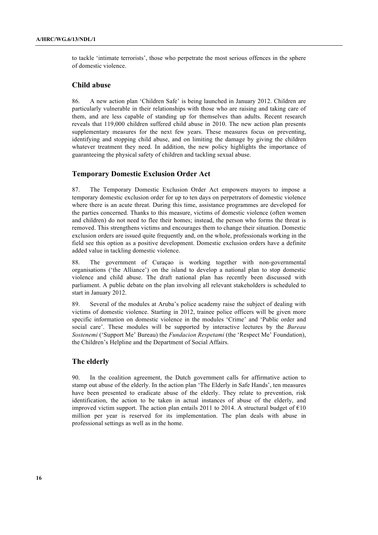to tackle 'intimate terrorists', those who perpetrate the most serious offences in the sphere of domestic violence.

### **Child abuse**

86. A new action plan 'Children Safe' is being launched in January 2012. Children are particularly vulnerable in their relationships with those who are raising and taking care of them, and are less capable of standing up for themselves than adults. Recent research reveals that 119,000 children suffered child abuse in 2010. The new action plan presents supplementary measures for the next few years. These measures focus on preventing, identifying and stopping child abuse, and on limiting the damage by giving the children whatever treatment they need. In addition, the new policy highlights the importance of guaranteeing the physical safety of children and tackling sexual abuse.

### **Temporary Domestic Exclusion Order Act**

87. The Temporary Domestic Exclusion Order Act empowers mayors to impose a temporary domestic exclusion order for up to ten days on perpetrators of domestic violence where there is an acute threat. During this time, assistance programmes are developed for the parties concerned. Thanks to this measure, victims of domestic violence (often women and children) do not need to flee their homes; instead, the person who forms the threat is removed. This strengthens victims and encourages them to change their situation. Domestic exclusion orders are issued quite frequently and, on the whole, professionals working in the field see this option as a positive development. Domestic exclusion orders have a definite added value in tackling domestic violence.

88. The government of Curaçao is working together with non-governmental organisations ('the Alliance') on the island to develop a national plan to stop domestic violence and child abuse. The draft national plan has recently been discussed with parliament. A public debate on the plan involving all relevant stakeholders is scheduled to start in January 2012.

89. Several of the modules at Aruba's police academy raise the subject of dealing with victims of domestic violence. Starting in 2012, trainee police officers will be given more specific information on domestic violence in the modules 'Crime' and 'Public order and social care'. These modules will be supported by interactive lectures by the *Bureau Sostenemi* ('Support Me' Bureau) the *Fundacion Respetami* (the 'Respect Me' Foundation), the Children's Helpline and the Department of Social Affairs.

## **The elderly**

90. In the coalition agreement, the Dutch government calls for affirmative action to stamp out abuse of the elderly. In the action plan 'The Elderly in Safe Hands', ten measures have been presented to eradicate abuse of the elderly. They relate to prevention, risk identification, the action to be taken in actual instances of abuse of the elderly, and improved victim support. The action plan entails 2011 to 2014. A structural budget of  $\epsilon$ 10 million per year is reserved for its implementation. The plan deals with abuse in professional settings as well as in the home.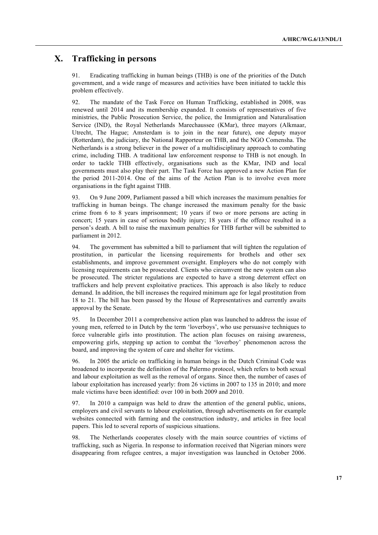# **X. Trafficking in persons**

91. Eradicating trafficking in human beings (THB) is one of the priorities of the Dutch government, and a wide range of measures and activities have been initiated to tackle this problem effectively.

92. The mandate of the Task Force on Human Trafficking, established in 2008, was renewed until 2014 and its membership expanded. It consists of representatives of five ministries, the Public Prosecution Service, the police, the Immigration and Naturalisation Service (IND), the Royal Netherlands Marechaussee (KMar), three mayors (Alkmaar, Utrecht, The Hague; Amsterdam is to join in the near future), one deputy mayor (Rotterdam), the judiciary, the National Rapporteur on THB, and the NGO Comensha. The Netherlands is a strong believer in the power of a multidisciplinary approach to combating crime, including THB. A traditional law enforcement response to THB is not enough. In order to tackle THB effectively, organisations such as the KMar, IND and local governments must also play their part. The Task Force has approved a new Action Plan for the period 2011-2014. One of the aims of the Action Plan is to involve even more organisations in the fight against THB.

93. On 9 June 2009, Parliament passed a bill which increases the maximum penalties for trafficking in human beings. The change increased the maximum penalty for the basic crime from 6 to 8 years imprisonment; 10 years if two or more persons are acting in concert; 15 years in case of serious bodily injury; 18 years if the offence resulted in a person's death. A bill to raise the maximum penalties for THB further will be submitted to parliament in 2012.

94. The government has submitted a bill to parliament that will tighten the regulation of prostitution, in particular the licensing requirements for brothels and other sex establishments, and improve government oversight. Employers who do not comply with licensing requirements can be prosecuted. Clients who circumvent the new system can also be prosecuted. The stricter regulations are expected to have a strong deterrent effect on traffickers and help prevent exploitative practices. This approach is also likely to reduce demand. In addition, the bill increases the required minimum age for legal prostitution from 18 to 21. The bill has been passed by the House of Representatives and currently awaits approval by the Senate.

95. In December 2011 a comprehensive action plan was launched to address the issue of young men, referred to in Dutch by the term 'loverboys', who use persuasive techniques to force vulnerable girls into prostitution. The action plan focuses on raising awareness, empowering girls, stepping up action to combat the 'loverboy' phenomenon across the board, and improving the system of care and shelter for victims.

96. In 2005 the article on trafficking in human beings in the Dutch Criminal Code was broadened to incorporate the definition of the Palermo protocol, which refers to both sexual and labour exploitation as well as the removal of organs. Since then, the number of cases of labour exploitation has increased yearly: from 26 victims in 2007 to 135 in 2010; and more male victims have been identified: over 100 in both 2009 and 2010.

97. In 2010 a campaign was held to draw the attention of the general public, unions, employers and civil servants to labour exploitation, through advertisements on for example websites connected with farming and the construction industry, and articles in free local papers. This led to several reports of suspicious situations.

98. The Netherlands cooperates closely with the main source countries of victims of trafficking, such as Nigeria. In response to information received that Nigerian minors were disappearing from refugee centres, a major investigation was launched in October 2006.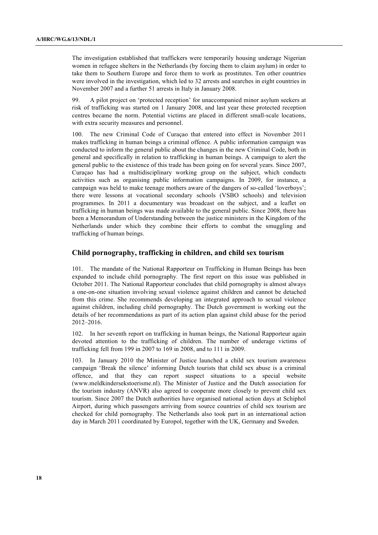The investigation established that traffickers were temporarily housing underage Nigerian women in refugee shelters in the Netherlands (by forcing them to claim asylum) in order to take them to Southern Europe and force them to work as prostitutes. Ten other countries were involved in the investigation, which led to 32 arrests and searches in eight countries in November 2007 and a further 51 arrests in Italy in January 2008.

99. A pilot project on 'protected reception' for unaccompanied minor asylum seekers at risk of trafficking was started on 1 January 2008, and last year these protected reception centres became the norm. Potential victims are placed in different small-scale locations, with extra security measures and personnel.

100. The new Criminal Code of Curaçao that entered into effect in November 2011 makes trafficking in human beings a criminal offence. A public information campaign was conducted to inform the general public about the changes in the new Criminal Code, both in general and specifically in relation to trafficking in human beings. A campaign to alert the general public to the existence of this trade has been going on for several years. Since 2007, Curaçao has had a multidisciplinary working group on the subject, which conducts activities such as organising public information campaigns. In 2009, for instance, a campaign was held to make teenage mothers aware of the dangers of so-called 'loverboys'; there were lessons at vocational secondary schools (VSBO schools) and television programmes. In 2011 a documentary was broadcast on the subject, and a leaflet on trafficking in human beings was made available to the general public. Since 2008, there has been a Memorandum of Understanding between the justice ministers in the Kingdom of the Netherlands under which they combine their efforts to combat the smuggling and trafficking of human beings.

### **Child pornography, trafficking in children, and child sex tourism**

101. The mandate of the National Rapporteur on Trafficking in Human Beings has been expanded to include child pornography. The first report on this issue was published in October 2011. The National Rapporteur concludes that child pornography is almost always a one-on-one situation involving sexual violence against children and cannot be detached from this crime. She recommends developing an integrated approach to sexual violence against children, including child pornography. The Dutch government is working out the details of her recommendations as part of its action plan against child abuse for the period 2012–2016.

102. In her seventh report on trafficking in human beings, the National Rapporteur again devoted attention to the trafficking of children. The number of underage victims of trafficking fell from 199 in 2007 to 169 in 2008, and to 111 in 2009.

103. In January 2010 the Minister of Justice launched a child sex tourism awareness campaign 'Break the silence' informing Dutch tourists that child sex abuse is a criminal offence, and that they can report suspect situations to a special website (www.meldkindersekstoerisme.nl). The Minister of Justice and the Dutch association for the tourism industry (ANVR) also agreed to cooperate more closely to prevent child sex tourism. Since 2007 the Dutch authorities have organised national action days at Schiphol Airport, during which passengers arriving from source countries of child sex tourism are checked for child pornography. The Netherlands also took part in an international action day in March 2011 coordinated by Europol, together with the UK, Germany and Sweden.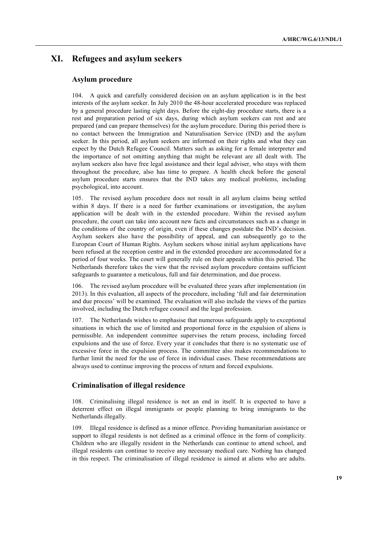# **XI. Refugees and asylum seekers**

## **Asylum procedure**

104. A quick and carefully considered decision on an asylum application is in the best interests of the asylum seeker. In July 2010 the 48-hour accelerated procedure was replaced by a general procedure lasting eight days. Before the eight-day procedure starts, there is a rest and preparation period of six days, during which asylum seekers can rest and are prepared (and can prepare themselves) for the asylum procedure. During this period there is no contact between the Immigration and Naturalisation Service (IND) and the asylum seeker. In this period, all asylum seekers are informed on their rights and what they can expect by the Dutch Refugee Council. Matters such as asking for a female interpreter and the importance of not omitting anything that might be relevant are all dealt with. The asylum seekers also have free legal assistance and their legal adviser, who stays with them throughout the procedure, also has time to prepare. A health check before the general asylum procedure starts ensures that the IND takes any medical problems, including psychological, into account.

105. The revised asylum procedure does not result in all asylum claims being settled within 8 days. If there is a need for further examinations or investigation, the asylum application will be dealt with in the extended procedure. Within the revised asylum procedure, the court can take into account new facts and circumstances such as a change in the conditions of the country of origin, even if these changes postdate the IND's decision. Asylum seekers also have the possibility of appeal, and can subsequently go to the European Court of Human Rights. Asylum seekers whose initial asylum applications have been refused at the reception centre and in the extended procedure are accommodated for a period of four weeks. The court will generally rule on their appeals within this period. The Netherlands therefore takes the view that the revised asylum procedure contains sufficient safeguards to guarantee a meticulous, full and fair determination, and due process.

106. The revised asylum procedure will be evaluated three years after implementation (in 2013). In this evaluation, all aspects of the procedure, including 'full and fair determination and due process' will be examined. The evaluation will also include the views of the parties involved, including the Dutch refugee council and the legal profession.

The Netherlands wishes to emphasise that numerous safeguards apply to exceptional situations in which the use of limited and proportional force in the expulsion of aliens is permissible. An independent committee supervises the return process, including forced expulsions and the use of force. Every year it concludes that there is no systematic use of excessive force in the expulsion process. The committee also makes recommendations to further limit the need for the use of force in individual cases. These recommendations are always used to continue improving the process of return and forced expulsions.

## **Criminalisation of illegal residence**

108. Criminalising illegal residence is not an end in itself. It is expected to have a deterrent effect on illegal immigrants or people planning to bring immigrants to the Netherlands illegally.

109. Illegal residence is defined as a minor offence. Providing humanitarian assistance or support to illegal residents is not defined as a criminal offence in the form of complicity. Children who are illegally resident in the Netherlands can continue to attend school, and illegal residents can continue to receive any necessary medical care. Nothing has changed in this respect. The criminalisation of illegal residence is aimed at aliens who are adults.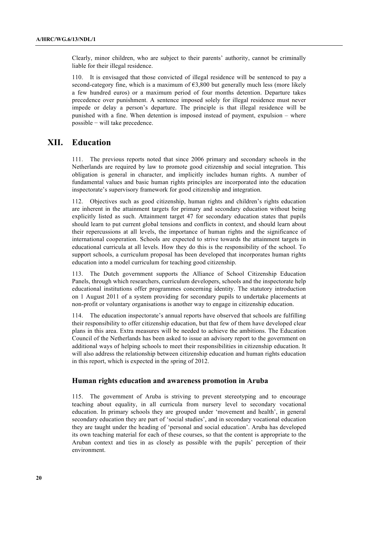Clearly, minor children, who are subject to their parents' authority, cannot be criminally liable for their illegal residence.

110. It is envisaged that those convicted of illegal residence will be sentenced to pay a second-category fine, which is a maximum of  $63,800$  but generally much less (more likely a few hundred euros) or a maximum period of four months detention. Departure takes precedence over punishment. A sentence imposed solely for illegal residence must never impede or delay a person's departure. The principle is that illegal residence will be punished with a fine. When detention is imposed instead of payment, expulsion – where possible − will take precedence.

# **XII. Education**

111. The previous reports noted that since 2006 primary and secondary schools in the Netherlands are required by law to promote good citizenship and social integration. This obligation is general in character, and implicitly includes human rights. A number of fundamental values and basic human rights principles are incorporated into the education inspectorate's supervisory framework for good citizenship and integration.

112. Objectives such as good citizenship, human rights and children's rights education are inherent in the attainment targets for primary and secondary education without being explicitly listed as such. Attainment target 47 for secondary education states that pupils should learn to put current global tensions and conflicts in context, and should learn about their repercussions at all levels, the importance of human rights and the significance of international cooperation. Schools are expected to strive towards the attainment targets in educational curricula at all levels. How they do this is the responsibility of the school. To support schools, a curriculum proposal has been developed that incorporates human rights education into a model curriculum for teaching good citizenship.

113. The Dutch government supports the Alliance of School Citizenship Education Panels, through which researchers, curriculum developers, schools and the inspectorate help educational institutions offer programmes concerning identity. The statutory introduction on 1 August 2011 of a system providing for secondary pupils to undertake placements at non-profit or voluntary organisations is another way to engage in citizenship education.

114. The education inspectorate's annual reports have observed that schools are fulfilling their responsibility to offer citizenship education, but that few of them have developed clear plans in this area. Extra measures will be needed to achieve the ambitions. The Education Council of the Netherlands has been asked to issue an advisory report to the government on additional ways of helping schools to meet their responsibilities in citizenship education. It will also address the relationship between citizenship education and human rights education in this report, which is expected in the spring of 2012.

## **Human rights education and awareness promotion in Aruba**

115. The government of Aruba is striving to prevent stereotyping and to encourage teaching about equality, in all curricula from nursery level to secondary vocational education. In primary schools they are grouped under 'movement and health', in general secondary education they are part of 'social studies', and in secondary vocational education they are taught under the heading of 'personal and social education'. Aruba has developed its own teaching material for each of these courses, so that the content is appropriate to the Aruban context and ties in as closely as possible with the pupils' perception of their environment.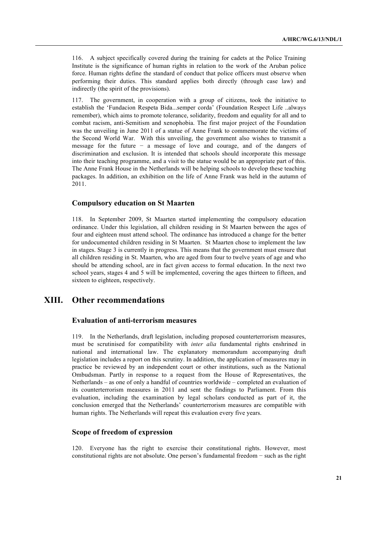116. A subject specifically covered during the training for cadets at the Police Training Institute is the significance of human rights in relation to the work of the Aruban police force. Human rights define the standard of conduct that police officers must observe when performing their duties. This standard applies both directly (through case law) and indirectly (the spirit of the provisions).

117. The government, in cooperation with a group of citizens, took the initiative to establish the 'Fundacion Respeta Bida...semper corda' (Foundation Respect Life ..always remember), which aims to promote tolerance, solidarity, freedom and equality for all and to combat racism, anti-Semitism and xenophobia. The first major project of the Foundation was the unveiling in June 2011 of a statue of Anne Frank to commemorate the victims of the Second World War. With this unveiling, the government also wishes to transmit a message for the future − a message of love and courage, and of the dangers of discrimination and exclusion. It is intended that schools should incorporate this message into their teaching programme, and a visit to the statue would be an appropriate part of this. The Anne Frank House in the Netherlands will be helping schools to develop these teaching packages. In addition, an exhibition on the life of Anne Frank was held in the autumn of 2011.

### **Compulsory education on St Maarten**

118. In September 2009, St Maarten started implementing the compulsory education ordinance. Under this legislation, all children residing in St Maarten between the ages of four and eighteen must attend school. The ordinance has introduced a change for the better for undocumented children residing in St Maarten. St Maarten chose to implement the law in stages. Stage 3 is currently in progress. This means that the government must ensure that all children residing in St. Maarten, who are aged from four to twelve years of age and who should be attending school, are in fact given access to formal education. In the next two school years, stages 4 and 5 will be implemented, covering the ages thirteen to fifteen, and sixteen to eighteen, respectively.

# **XIII. Other recommendations**

## **Evaluation of anti-terrorism measures**

119. In the Netherlands, draft legislation, including proposed counterterrorism measures, must be scrutinised for compatibility with *inter alia* fundamental rights enshrined in national and international law. The explanatory memorandum accompanying draft legislation includes a report on this scrutiny. In addition, the application of measures may in practice be reviewed by an independent court or other institutions, such as the National Ombudsman. Partly in response to a request from the House of Representatives, the Netherlands – as one of only a handful of countries worldwide – completed an evaluation of its counterterrorism measures in 2011 and sent the findings to Parliament. From this evaluation, including the examination by legal scholars conducted as part of it, the conclusion emerged that the Netherlands' counterterrorism measures are compatible with human rights. The Netherlands will repeat this evaluation every five years.

## **Scope of freedom of expression**

120. Everyone has the right to exercise their constitutional rights. However, most constitutional rights are not absolute. One person's fundamental freedom − such as the right